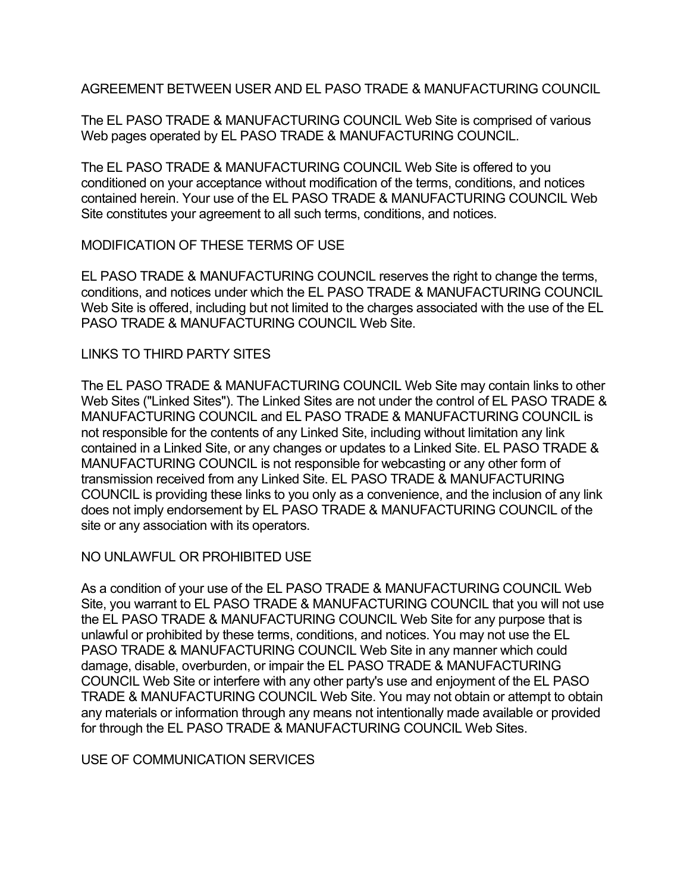AGREEMENT BETWEEN USER AND EL PASO TRADE & MANUFACTURING COUNCIL

The EL PASO TRADE & MANUFACTURING COUNCIL Web Site is comprised of various Web pages operated by EL PASO TRADE & MANUFACTURING COUNCIL.

The EL PASO TRADE & MANUFACTURING COUNCIL Web Site is offered to you conditioned on your acceptance without modification of the terms, conditions, and notices contained herein. Your use of the EL PASO TRADE & MANUFACTURING COUNCIL Web Site constitutes your agreement to all such terms, conditions, and notices.

# MODIFICATION OF THESE TERMS OF USE

EL PASO TRADE & MANUFACTURING COUNCIL reserves the right to change the terms, conditions, and notices under which the EL PASO TRADE & MANUFACTURING COUNCIL Web Site is offered, including but not limited to the charges associated with the use of the EL PASO TRADE & MANUFACTURING COUNCIL Web Site.

# LINKS TO THIRD PARTY SITES

The EL PASO TRADE & MANUFACTURING COUNCIL Web Site may contain links to other Web Sites ("Linked Sites"). The Linked Sites are not under the control of EL PASO TRADE & MANUFACTURING COUNCIL and EL PASO TRADE & MANUFACTURING COUNCIL is not responsible for the contents of any Linked Site, including without limitation any link contained in a Linked Site, or any changes or updates to a Linked Site. EL PASO TRADE & MANUFACTURING COUNCIL is not responsible for webcasting or any other form of transmission received from any Linked Site. EL PASO TRADE & MANUFACTURING COUNCIL is providing these links to you only as a convenience, and the inclusion of any link does not imply endorsement by EL PASO TRADE & MANUFACTURING COUNCIL of the site or any association with its operators.

## NO UNLAWFUL OR PROHIBITED USE

As a condition of your use of the EL PASO TRADE & MANUFACTURING COUNCIL Web Site, you warrant to EL PASO TRADE & MANUFACTURING COUNCIL that you will not use the EL PASO TRADE & MANUFACTURING COUNCIL Web Site for any purpose that is unlawful or prohibited by these terms, conditions, and notices. You may not use the EL PASO TRADE & MANUFACTURING COUNCIL Web Site in any manner which could damage, disable, overburden, or impair the EL PASO TRADE & MANUFACTURING COUNCIL Web Site or interfere with any other party's use and enjoyment of the EL PASO TRADE & MANUFACTURING COUNCIL Web Site. You may not obtain or attempt to obtain any materials or information through any means not intentionally made available or provided for through the EL PASO TRADE & MANUFACTURING COUNCIL Web Sites.

## USE OF COMMUNICATION SERVICES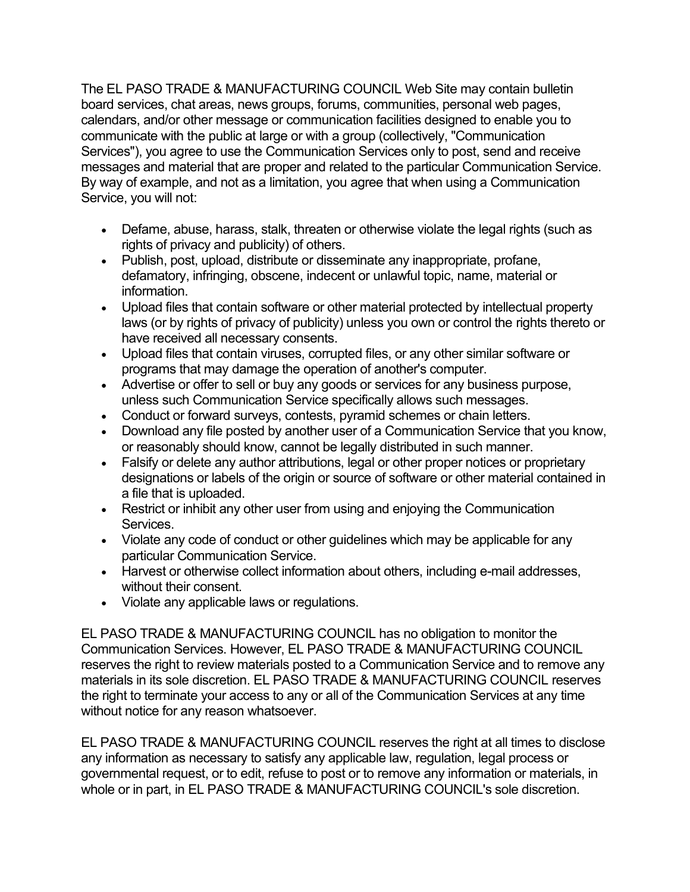The EL PASO TRADE & MANUFACTURING COUNCIL Web Site may contain bulletin board services, chat areas, news groups, forums, communities, personal web pages, calendars, and/or other message or communication facilities designed to enable you to communicate with the public at large or with a group (collectively, "Communication Services"), you agree to use the Communication Services only to post, send and receive messages and material that are proper and related to the particular Communication Service. By way of example, and not as a limitation, you agree that when using a Communication Service, you will not:

- Defame, abuse, harass, stalk, threaten or otherwise violate the legal rights (such as rights of privacy and publicity) of others.
- Publish, post, upload, distribute or disseminate any inappropriate, profane, defamatory, infringing, obscene, indecent or unlawful topic, name, material or information.
- Upload files that contain software or other material protected by intellectual property laws (or by rights of privacy of publicity) unless you own or control the rights thereto or have received all necessary consents.
- Upload files that contain viruses, corrupted files, or any other similar software or programs that may damage the operation of another's computer.
- Advertise or offer to sell or buy any goods or services for any business purpose, unless such Communication Service specifically allows such messages.
- Conduct or forward surveys, contests, pyramid schemes or chain letters.
- Download any file posted by another user of a Communication Service that you know, or reasonably should know, cannot be legally distributed in such manner.
- Falsify or delete any author attributions, legal or other proper notices or proprietary designations or labels of the origin or source of software or other material contained in a file that is uploaded.
- Restrict or inhibit any other user from using and enjoying the Communication Services.
- Violate any code of conduct or other guidelines which may be applicable for any particular Communication Service.
- Harvest or otherwise collect information about others, including e-mail addresses, without their consent.
- Violate any applicable laws or regulations.

EL PASO TRADE & MANUFACTURING COUNCIL has no obligation to monitor the Communication Services. However, EL PASO TRADE & MANUFACTURING COUNCIL reserves the right to review materials posted to a Communication Service and to remove any materials in its sole discretion. EL PASO TRADE & MANUFACTURING COUNCIL reserves the right to terminate your access to any or all of the Communication Services at any time without notice for any reason whatsoever.

EL PASO TRADE & MANUFACTURING COUNCIL reserves the right at all times to disclose any information as necessary to satisfy any applicable law, regulation, legal process or governmental request, or to edit, refuse to post or to remove any information or materials, in whole or in part, in EL PASO TRADE & MANUFACTURING COUNCIL's sole discretion.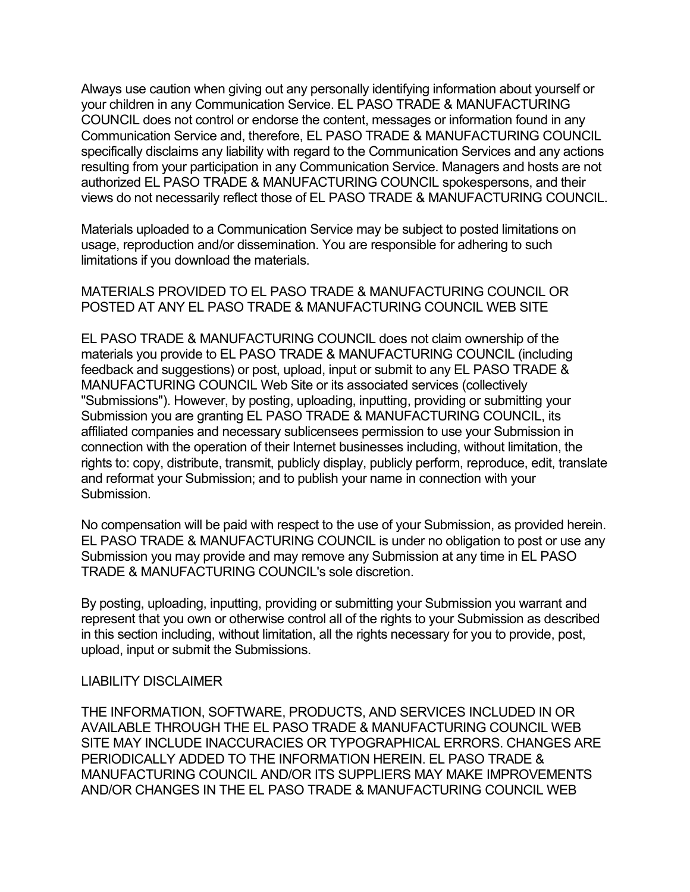Always use caution when giving out any personally identifying information about yourself or your children in any Communication Service. EL PASO TRADE & MANUFACTURING COUNCIL does not control or endorse the content, messages or information found in any Communication Service and, therefore, EL PASO TRADE & MANUFACTURING COUNCIL specifically disclaims any liability with regard to the Communication Services and any actions resulting from your participation in any Communication Service. Managers and hosts are not authorized EL PASO TRADE & MANUFACTURING COUNCIL spokespersons, and their views do not necessarily reflect those of EL PASO TRADE & MANUFACTURING COUNCIL.

Materials uploaded to a Communication Service may be subject to posted limitations on usage, reproduction and/or dissemination. You are responsible for adhering to such limitations if you download the materials.

MATERIALS PROVIDED TO EL PASO TRADE & MANUFACTURING COUNCIL OR POSTED AT ANY EL PASO TRADE & MANUFACTURING COUNCIL WEB SITE

EL PASO TRADE & MANUFACTURING COUNCIL does not claim ownership of the materials you provide to EL PASO TRADE & MANUFACTURING COUNCIL (including feedback and suggestions) or post, upload, input or submit to any EL PASO TRADE & MANUFACTURING COUNCIL Web Site or its associated services (collectively "Submissions"). However, by posting, uploading, inputting, providing or submitting your Submission you are granting EL PASO TRADE & MANUFACTURING COUNCIL, its affiliated companies and necessary sublicensees permission to use your Submission in connection with the operation of their Internet businesses including, without limitation, the rights to: copy, distribute, transmit, publicly display, publicly perform, reproduce, edit, translate and reformat your Submission; and to publish your name in connection with your Submission.

No compensation will be paid with respect to the use of your Submission, as provided herein. EL PASO TRADE & MANUFACTURING COUNCIL is under no obligation to post or use any Submission you may provide and may remove any Submission at any time in EL PASO TRADE & MANUFACTURING COUNCIL's sole discretion.

By posting, uploading, inputting, providing or submitting your Submission you warrant and represent that you own or otherwise control all of the rights to your Submission as described in this section including, without limitation, all the rights necessary for you to provide, post, upload, input or submit the Submissions.

## LIABILITY DISCLAIMER

THE INFORMATION, SOFTWARE, PRODUCTS, AND SERVICES INCLUDED IN OR AVAILABLE THROUGH THE EL PASO TRADE & MANUFACTURING COUNCIL WEB SITE MAY INCLUDE INACCURACIES OR TYPOGRAPHICAL ERRORS. CHANGES ARE PERIODICALLY ADDED TO THE INFORMATION HEREIN. EL PASO TRADE & MANUFACTURING COUNCIL AND/OR ITS SUPPLIERS MAY MAKE IMPROVEMENTS AND/OR CHANGES IN THE EL PASO TRADE & MANUFACTURING COUNCIL WEB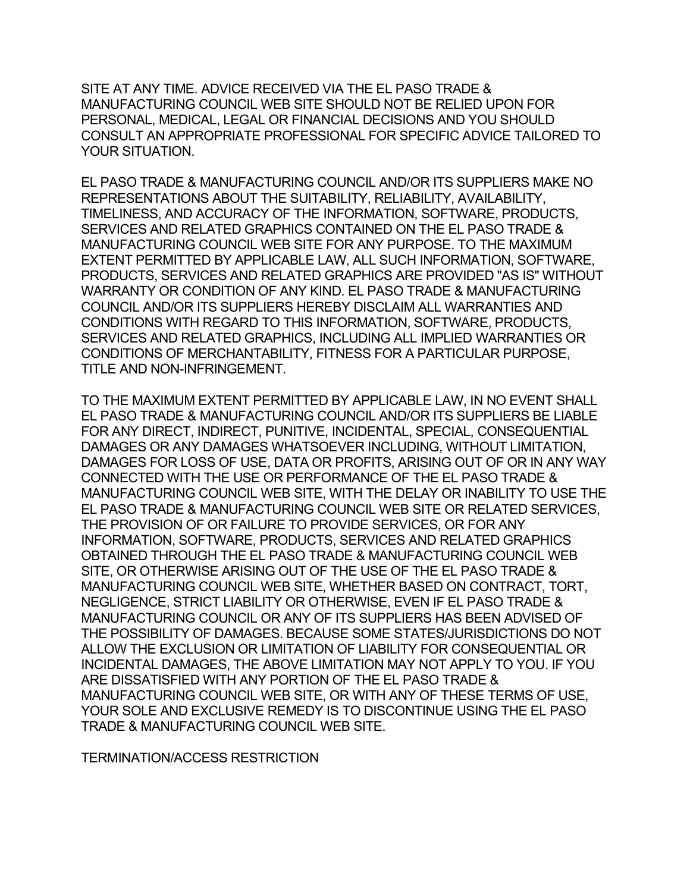SITE AT ANY TIME. ADVICE RECEIVED VIA THE EL PASO TRADE & MANUFACTURING COUNCIL WEB SITE SHOULD NOT BE RELIED UPON FOR PERSONAL, MEDICAL, LEGAL OR FINANCIAL DECISIONS AND YOU SHOULD CONSULT AN APPROPRIATE PROFESSIONAL FOR SPECIFIC ADVICE TAILORED TO YOUR SITUATION.

EL PASO TRADE & MANUFACTURING COUNCIL AND/OR ITS SUPPLIERS MAKE NO REPRESENTATIONS ABOUT THE SUITABILITY, RELIABILITY, AVAILABILITY, TIMELINESS, AND ACCURACY OF THE INFORMATION, SOFTWARE, PRODUCTS, SERVICES AND RELATED GRAPHICS CONTAINED ON THE EL PASO TRADE & MANUFACTURING COUNCIL WEB SITE FOR ANY PURPOSE. TO THE MAXIMUM EXTENT PERMITTED BY APPLICABLE LAW, ALL SUCH INFORMATION, SOFTWARE, PRODUCTS, SERVICES AND RELATED GRAPHICS ARE PROVIDED "AS IS" WITHOUT WARRANTY OR CONDITION OF ANY KIND. EL PASO TRADE & MANUFACTURING COUNCIL AND/OR ITS SUPPLIERS HEREBY DISCLAIM ALL WARRANTIES AND CONDITIONS WITH REGARD TO THIS INFORMATION, SOFTWARE, PRODUCTS, SERVICES AND RELATED GRAPHICS, INCLUDING ALL IMPLIED WARRANTIES OR CONDITIONS OF MERCHANTABILITY, FITNESS FOR A PARTICULAR PURPOSE, TITLE AND NON-INFRINGEMENT.

TO THE MAXIMUM EXTENT PERMITTED BY APPLICABLE LAW, IN NO EVENT SHALL EL PASO TRADE & MANUFACTURING COUNCIL AND/OR ITS SUPPLIERS BE LIABLE FOR ANY DIRECT, INDIRECT, PUNITIVE, INCIDENTAL, SPECIAL, CONSEQUENTIAL DAMAGES OR ANY DAMAGES WHATSOEVER INCLUDING, WITHOUT LIMITATION, DAMAGES FOR LOSS OF USE, DATA OR PROFITS, ARISING OUT OF OR IN ANY WAY CONNECTED WITH THE USE OR PERFORMANCE OF THE EL PASO TRADE & MANUFACTURING COUNCIL WEB SITE, WITH THE DELAY OR INABILITY TO USE THE EL PASO TRADE & MANUFACTURING COUNCIL WEB SITE OR RELATED SERVICES, THE PROVISION OF OR FAILURE TO PROVIDE SERVICES, OR FOR ANY INFORMATION, SOFTWARE, PRODUCTS, SERVICES AND RELATED GRAPHICS OBTAINED THROUGH THE EL PASO TRADE & MANUFACTURING COUNCIL WEB SITE, OR OTHERWISE ARISING OUT OF THE USE OF THE EL PASO TRADE & MANUFACTURING COUNCIL WEB SITE, WHETHER BASED ON CONTRACT, TORT, NEGLIGENCE, STRICT LIABILITY OR OTHERWISE, EVEN IF EL PASO TRADE & MANUFACTURING COUNCIL OR ANY OF ITS SUPPLIERS HAS BEEN ADVISED OF THE POSSIBILITY OF DAMAGES. BECAUSE SOME STATES/JURISDICTIONS DO NOT ALLOW THE EXCLUSION OR LIMITATION OF LIABILITY FOR CONSEQUENTIAL OR INCIDENTAL DAMAGES, THE ABOVE LIMITATION MAY NOT APPLY TO YOU. IF YOU ARE DISSATISFIED WITH ANY PORTION OF THE EL PASO TRADE & MANUFACTURING COUNCIL WEB SITE, OR WITH ANY OF THESE TERMS OF USE, YOUR SOLE AND EXCLUSIVE REMEDY IS TO DISCONTINUE USING THE EL PASO TRADE & MANUFACTURING COUNCIL WEB SITE.

TERMINATION/ACCESS RESTRICTION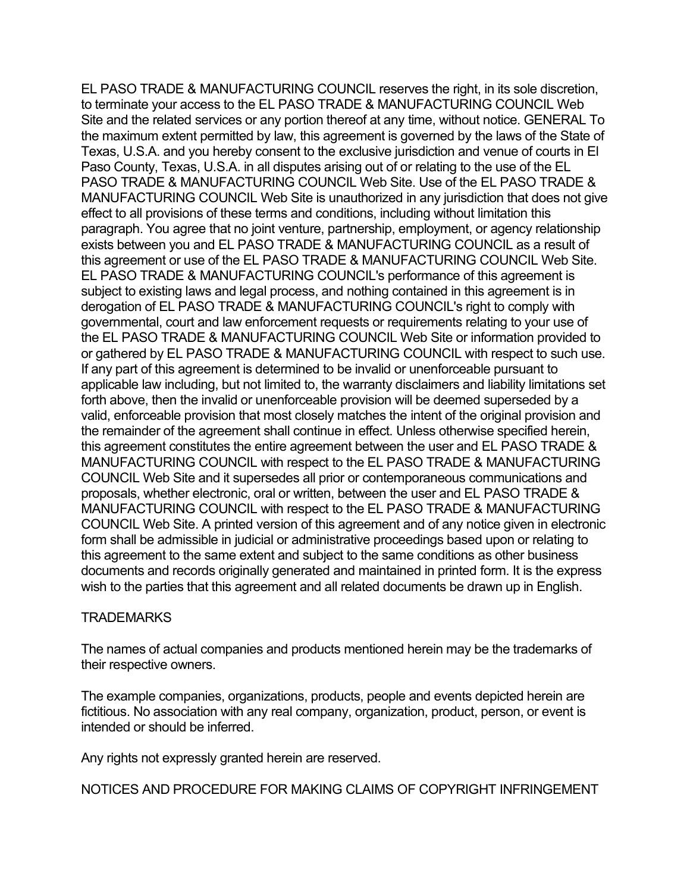EL PASO TRADE & MANUFACTURING COUNCIL reserves the right, in its sole discretion, to terminate your access to the EL PASO TRADE & MANUFACTURING COUNCIL Web Site and the related services or any portion thereof at any time, without notice. GENERAL To the maximum extent permitted by law, this agreement is governed by the laws of the State of Texas, U.S.A. and you hereby consent to the exclusive jurisdiction and venue of courts in El Paso County, Texas, U.S.A. in all disputes arising out of or relating to the use of the EL PASO TRADE & MANUFACTURING COUNCIL Web Site. Use of the EL PASO TRADE & MANUFACTURING COUNCIL Web Site is unauthorized in any jurisdiction that does not give effect to all provisions of these terms and conditions, including without limitation this paragraph. You agree that no joint venture, partnership, employment, or agency relationship exists between you and EL PASO TRADE & MANUFACTURING COUNCIL as a result of this agreement or use of the EL PASO TRADE & MANUFACTURING COUNCIL Web Site. EL PASO TRADE & MANUFACTURING COUNCIL's performance of this agreement is subject to existing laws and legal process, and nothing contained in this agreement is in derogation of EL PASO TRADE & MANUFACTURING COUNCIL's right to comply with governmental, court and law enforcement requests or requirements relating to your use of the EL PASO TRADE & MANUFACTURING COUNCIL Web Site or information provided to or gathered by EL PASO TRADE & MANUFACTURING COUNCIL with respect to such use. If any part of this agreement is determined to be invalid or unenforceable pursuant to applicable law including, but not limited to, the warranty disclaimers and liability limitations set forth above, then the invalid or unenforceable provision will be deemed superseded by a valid, enforceable provision that most closely matches the intent of the original provision and the remainder of the agreement shall continue in effect. Unless otherwise specified herein, this agreement constitutes the entire agreement between the user and EL PASO TRADE & MANUFACTURING COUNCIL with respect to the EL PASO TRADE & MANUFACTURING COUNCIL Web Site and it supersedes all prior or contemporaneous communications and proposals, whether electronic, oral or written, between the user and EL PASO TRADE & MANUFACTURING COUNCIL with respect to the EL PASO TRADE & MANUFACTURING COUNCIL Web Site. A printed version of this agreement and of any notice given in electronic form shall be admissible in judicial or administrative proceedings based upon or relating to this agreement to the same extent and subject to the same conditions as other business documents and records originally generated and maintained in printed form. It is the express wish to the parties that this agreement and all related documents be drawn up in English.

## **TRADEMARKS**

The names of actual companies and products mentioned herein may be the trademarks of their respective owners.

The example companies, organizations, products, people and events depicted herein are fictitious. No association with any real company, organization, product, person, or event is intended or should be inferred.

Any rights not expressly granted herein are reserved.

NOTICES AND PROCEDURE FOR MAKING CLAIMS OF COPYRIGHT INFRINGEMENT